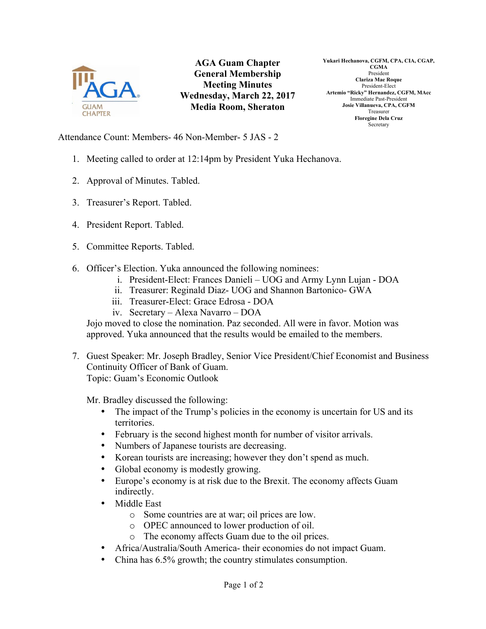

**AGA Guam Chapter General Membership Meeting Minutes Wednesday, March 22, 2017 Media Room, Sheraton**

**Yukari Hechanova, CGFM, CPA, CIA, CGAP, CGMA** President **Clariza Mae Roque** President-Elect **Artemio "Ricky" Hernandez, CGFM, MAcc** Immediate Past-President **Josie Villanueva, CPA, CGFM** Treasurer **Floregine Dela Cruz** Secretary

Attendance Count: Members- 46 Non-Member- 5 JAS - 2

- 1. Meeting called to order at 12:14pm by President Yuka Hechanova.
- 2. Approval of Minutes. Tabled.
- 3. Treasurer's Report. Tabled.
- 4. President Report. Tabled.
- 5. Committee Reports. Tabled.
- 6. Officer's Election. Yuka announced the following nominees:
	- i. President-Elect: Frances Danieli UOG and Army Lynn Lujan DOA
	- ii. Treasurer: Reginald Diaz- UOG and Shannon Bartonico- GWA
	- iii. Treasurer-Elect: Grace Edrosa DOA
	- iv. Secretary Alexa Navarro DOA

Jojo moved to close the nomination. Paz seconded. All were in favor. Motion was approved. Yuka announced that the results would be emailed to the members.

7. Guest Speaker: Mr. Joseph Bradley, Senior Vice President/Chief Economist and Business Continuity Officer of Bank of Guam. Topic: Guam's Economic Outlook

Mr. Bradley discussed the following:

- The impact of the Trump's policies in the economy is uncertain for US and its territories.
- February is the second highest month for number of visitor arrivals.
- Numbers of Japanese tourists are decreasing.
- Korean tourists are increasing; however they don't spend as much.
- Global economy is modestly growing.
- Europe's economy is at risk due to the Brexit. The economy affects Guam indirectly.
- Middle East
	- o Some countries are at war; oil prices are low.
	- o OPEC announced to lower production of oil.
	- o The economy affects Guam due to the oil prices.
- Africa/Australia/South America- their economies do not impact Guam.
- China has 6.5% growth; the country stimulates consumption.